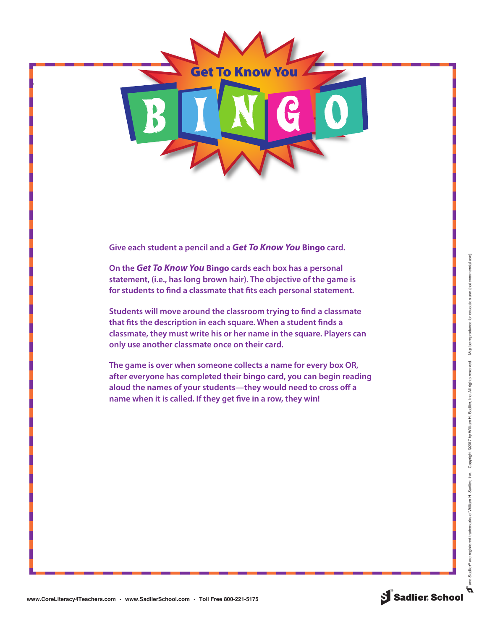

**Give each student a pencil and a** *Get To Know You* **Bingo card.**

**On the** *Get To Know You* **Bingo cards each box has a personal statement, (i.e., has long brown hair). The objective of the game is for students to find a classmate that fits each personal statement.**

**Students will move around the classroom trying to find a classmate that fits the description in each square. When a student finds a classmate, they must write his or her name in the square. Players can only use another classmate once on their card.** 

**The game is over when someone collects a name for every box OR, after everyone has completed their bingo card, you can begin reading aloud the names of your students—they would need to cross off a name when it is called. If they get five in a row, they win!**

.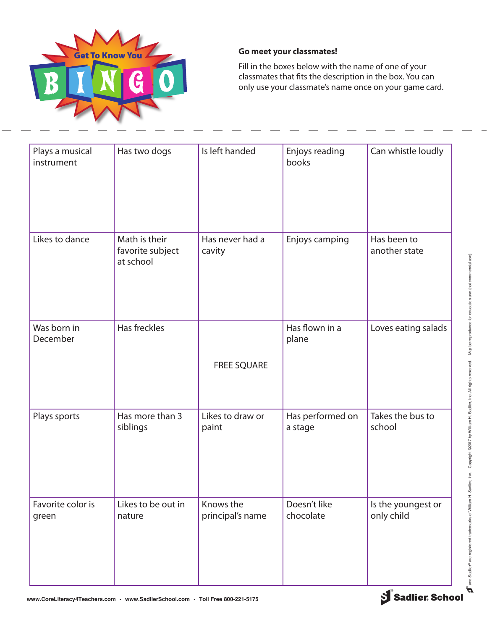

## **Go meet your classmates!**

Fill in the boxes below with the name of one of your classmates that fits the description in the box. You can only use your classmate's name once on your game card.

| Plays a musical<br>instrument | Has two dogs                                   | Is left handed                | Enjoys reading<br>books     | Can whistle loudly               |
|-------------------------------|------------------------------------------------|-------------------------------|-----------------------------|----------------------------------|
| Likes to dance                | Math is their<br>favorite subject<br>at school | Has never had a<br>cavity     | Enjoys camping              | Has been to<br>another state     |
| Was born in<br>December       | Has freckles                                   | <b>FREE SQUARE</b>            | Has flown in a<br>plane     | Loves eating salads              |
| Plays sports                  | Has more than 3<br>siblings                    | Likes to draw or<br>paint     | Has performed on<br>a stage | Takes the bus to<br>school       |
| Favorite color is<br>green    | Likes to be out in<br>nature                   | Knows the<br>principal's name | Doesn't like<br>chocolate   | Is the youngest or<br>only child |